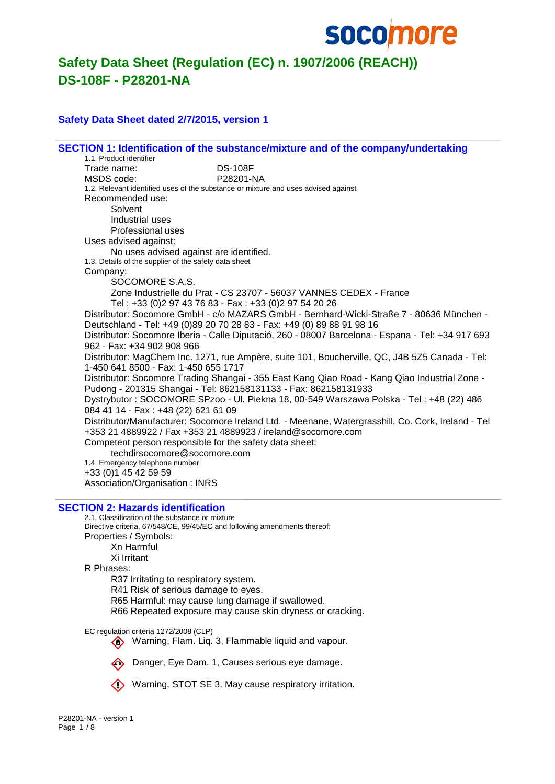

#### **Safety Data Sheet dated 2/7/2015, version 1**

|                                 |                                                                                    | SECTION 1: Identification of the substance/mixture and of the company/undertaking                  |
|---------------------------------|------------------------------------------------------------------------------------|----------------------------------------------------------------------------------------------------|
| 1.1. Product identifier         |                                                                                    |                                                                                                    |
| Trade name:                     | <b>DS-108F</b>                                                                     |                                                                                                    |
| MSDS code:                      | P28201-NA                                                                          |                                                                                                    |
|                                 | 1.2. Relevant identified uses of the substance or mixture and uses advised against |                                                                                                    |
| Recommended use:                |                                                                                    |                                                                                                    |
| Solvent                         |                                                                                    |                                                                                                    |
| Industrial uses                 |                                                                                    |                                                                                                    |
| Professional uses               |                                                                                    |                                                                                                    |
| Uses advised against:           |                                                                                    |                                                                                                    |
|                                 | No uses advised against are identified.                                            |                                                                                                    |
|                                 | 1.3. Details of the supplier of the safety data sheet                              |                                                                                                    |
| Company:                        |                                                                                    |                                                                                                    |
|                                 | SOCOMORE S.A.S.                                                                    |                                                                                                    |
|                                 |                                                                                    | Zone Industrielle du Prat - CS 23707 - 56037 VANNES CEDEX - France                                 |
|                                 | Tel: +33 (0)2 97 43 76 83 - Fax: +33 (0)2 97 54 20 26                              |                                                                                                    |
|                                 |                                                                                    | Distributor: Socomore GmbH - c/o MAZARS GmbH - Bernhard-Wicki-Straße 7 - 80636 München -           |
|                                 |                                                                                    | Deutschland - Tel: +49 (0)89 20 70 28 83 - Fax: +49 (0) 89 88 91 98 16                             |
|                                 |                                                                                    | Distributor: Socomore Iberia - Calle Diputació, 260 - 08007 Barcelona - Espana - Tel: +34 917 693  |
| 962 - Fax: +34 902 908 966      |                                                                                    |                                                                                                    |
|                                 |                                                                                    | Distributor: MagChem Inc. 1271, rue Ampère, suite 101, Boucherville, QC, J4B 5Z5 Canada - Tel:     |
|                                 | 1-450 641 8500 - Fax: 1-450 655 1717                                               |                                                                                                    |
|                                 |                                                                                    | Distributor: Socomore Trading Shangai - 355 East Kang Qiao Road - Kang Qiao Industrial Zone -      |
|                                 |                                                                                    | Pudong - 201315 Shangai - Tel: 862158131133 - Fax: 862158131933                                    |
|                                 |                                                                                    | Dystrybutor : SOCOMORE SPzoo - UI. Piekna 18, 00-549 Warszawa Polska - Tel : +48 (22) 486          |
|                                 | 084 41 14 - Fax: +48 (22) 621 61 09                                                |                                                                                                    |
|                                 |                                                                                    | Distributor/Manufacturer: Socomore Ireland Ltd. - Meenane, Watergrasshill, Co. Cork, Ireland - Tel |
|                                 |                                                                                    | +353 21 4889922 / Fax +353 21 4889923 / ireland@socomore.com                                       |
|                                 | Competent person responsible for the safety data sheet:                            |                                                                                                    |
|                                 | techdirsocomore@socomore.com                                                       |                                                                                                    |
| 1.4. Emergency telephone number |                                                                                    |                                                                                                    |
| +33 (0) 1 45 42 59 59           |                                                                                    |                                                                                                    |
|                                 | Association/Organisation: INRS                                                     |                                                                                                    |

#### **SECTION 2: Hazards identification**

2.1. Classification of the substance or mixture Directive criteria, 67/548/CE, 99/45/EC and following amendments thereof: Properties / Symbols: Xn Harmful Xi Irritant R Phrases: R37 Irritating to respiratory system. R41 Risk of serious damage to eyes. R65 Harmful: may cause lung damage if swallowed.

R66 Repeated exposure may cause skin dryness or cracking.

EC regulation criteria 1272/2008 (CLP)

Warning, Flam. Liq. 3, Flammable liquid and vapour.



Danger, Eye Dam. 1, Causes serious eye damage.

Warning, STOT SE 3, May cause respiratory irritation.

P28201-NA - version 1 Page 1 / 8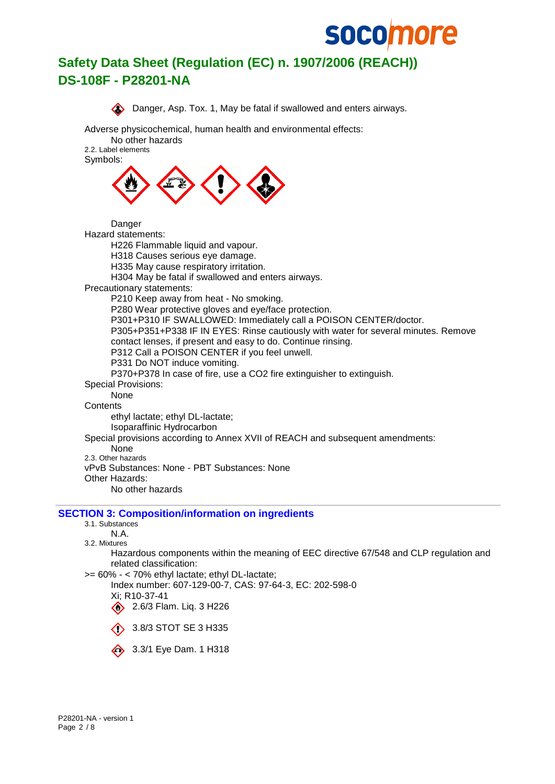



```
3.1. Substances
```

```
N.A.
3.2. Mixtures
```
Hazardous components within the meaning of EEC directive 67/548 and CLP regulation and related classification:

>= 60% - < 70% ethyl lactate; ethyl DL-lactate;

Index number: 607-129-00-7, CAS: 97-64-3, EC: 202-598-0 Xi; R10-37-41

2.6/3 Flam. Liq. 3 H226



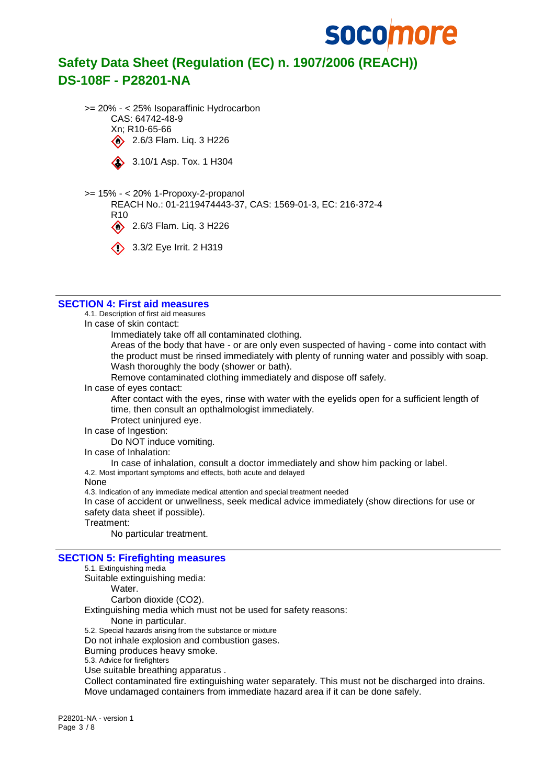

>= 20% - < 25% Isoparaffinic Hydrocarbon CAS: 64742-48-9 Xn; R10-65-66 2.6/3 Flam. Lig. 3 H226



3.10/1 Asp. Tox. 1 H304

>= 15% - < 20% 1-Propoxy-2-propanol REACH No.: 01-2119474443-37, CAS: 1569-01-3, EC: 216-372-4 R10  $\bigotimes$  2.6/3 Flam. Liq. 3 H226

3.3/2 Eye Irrit. 2 H319

#### **SECTION 4: First aid measures**

4.1. Description of first aid measures

In case of skin contact:

Immediately take off all contaminated clothing.

Areas of the body that have - or are only even suspected of having - come into contact with the product must be rinsed immediately with plenty of running water and possibly with soap. Wash thoroughly the body (shower or bath).

Remove contaminated clothing immediately and dispose off safely.

In case of eyes contact:

After contact with the eyes, rinse with water with the eyelids open for a sufficient length of time, then consult an opthalmologist immediately.

- Protect uninjured eye.
- In case of Ingestion:

Do NOT induce vomiting.

In case of Inhalation:

In case of inhalation, consult a doctor immediately and show him packing or label. 4.2. Most important symptoms and effects, both acute and delayed

None

4.3. Indication of any immediate medical attention and special treatment needed

In case of accident or unwellness, seek medical advice immediately (show directions for use or safety data sheet if possible).

Treatment:

No particular treatment.

#### **SECTION 5: Firefighting measures**

5.1. Extinguishing media Suitable extinguishing media: Water. Carbon dioxide (CO2). Extinguishing media which must not be used for safety reasons: None in particular. 5.2. Special hazards arising from the substance or mixture Do not inhale explosion and combustion gases. Burning produces heavy smoke. 5.3. Advice for firefighters Use suitable breathing apparatus . Collect contaminated fire extinguishing water separately. This must not be discharged into drains.

Move undamaged containers from immediate hazard area if it can be done safely.

P28201-NA - version 1 Page 3 / 8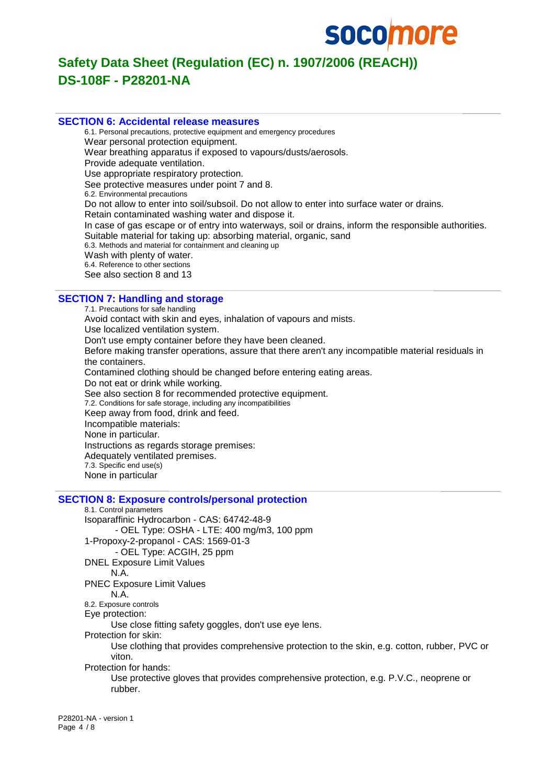

#### **SECTION 6: Accidental release measures**

6.1. Personal precautions, protective equipment and emergency procedures Wear personal protection equipment. Wear breathing apparatus if exposed to vapours/dusts/aerosols. Provide adequate ventilation. Use appropriate respiratory protection. See protective measures under point 7 and 8. 6.2. Environmental precautions Do not allow to enter into soil/subsoil. Do not allow to enter into surface water or drains. Retain contaminated washing water and dispose it. In case of gas escape or of entry into waterways, soil or drains, inform the responsible authorities. Suitable material for taking up: absorbing material, organic, sand 6.3. Methods and material for containment and cleaning up Wash with plenty of water. 6.4. Reference to other sections See also section 8 and 13

### **SECTION 7: Handling and storage**

7.1. Precautions for safe handling Avoid contact with skin and eyes, inhalation of vapours and mists. Use localized ventilation system. Don't use empty container before they have been cleaned. Before making transfer operations, assure that there aren't any incompatible material residuals in the containers. Contamined clothing should be changed before entering eating areas. Do not eat or drink while working. See also section 8 for recommended protective equipment. 7.2. Conditions for safe storage, including any incompatibilities Keep away from food, drink and feed. Incompatible materials: None in particular. Instructions as regards storage premises: Adequately ventilated premises. 7.3. Specific end use(s) None in particular

#### **SECTION 8: Exposure controls/personal protection**

8.1. Control parameters Isoparaffinic Hydrocarbon - CAS: 64742-48-9 - OEL Type: OSHA - LTE: 400 mg/m3, 100 ppm 1-Propoxy-2-propanol - CAS: 1569-01-3 - OEL Type: ACGIH, 25 ppm DNEL Exposure Limit Values N.A. PNEC Exposure Limit Values N.A. 8.2. Exposure controls Eye protection: Use close fitting safety goggles, don't use eye lens. Protection for skin: Use clothing that provides comprehensive protection to the skin, e.g. cotton, rubber, PVC or viton. Protection for hands: Use protective gloves that provides comprehensive protection, e.g. P.V.C., neoprene or rubber.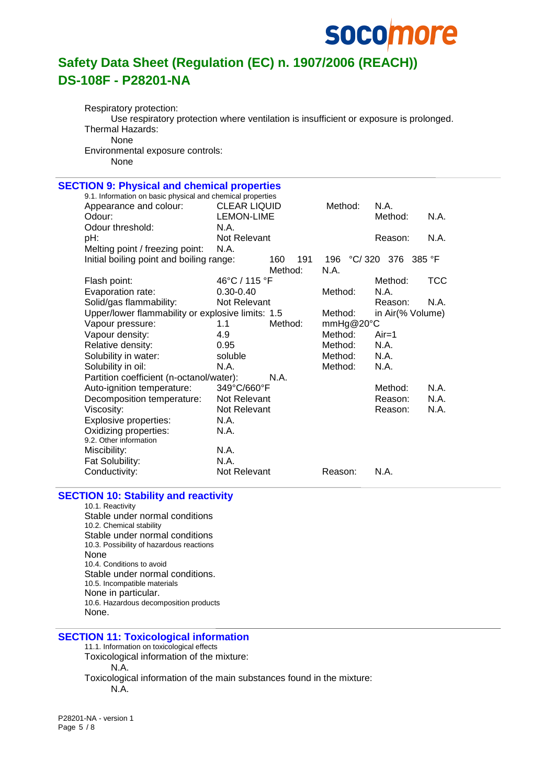## **socomore**

## **Safety Data Sheet (Regulation (EC) n. 1907/2006 (REACH)) DS-108F - P28201-NA**

Respiratory protection: Use respiratory protection where ventilation is insufficient or exposure is prolonged. Thermal Hazards: None Environmental exposure controls: None

#### **SECTION 9: Physical and chemical properties** 9.1. Information on basic physical and chemical properties Appearance and colour: CLEAR LIQUID Method: N.A. Odour: Communication CEMON-LIME Communication Method: N.A. Odour threshold: N.A. pH:  $R = R$  Not Relevant Reason: N.A. Melting point / freezing point: N.A. Initial boiling point and boiling range: 160 191 196 °C/ 320 376 385 °F Method: N.A. Flash point:  $46^{\circ}$ C / 115 °F Method: TCC Evaporation rate: 0.30-0.40 Method: N.A. Solid/gas flammability: Not Relevant Collection Reason: N.A. Upper/lower flammability or explosive limits: 1.5 Method: in Air(% Volume) Vapour pressure: 1.1 Method: mmHg@20°C Vapour density: 4.9 Method: Air=1 Relative density:  $0.95$  Method: N.A. Solubility in water: soluble Method: N.A. Solubility in oil: N.A. N.A. Method: N.A. Partition coefficient (n-octanol/water): N.A. Auto-ignition temperature: 349°C/660°F Method: N.A. Decomposition temperature: Not Relevant **Reason: N.A.** Viscosity: Not Relevant N.A. Reason: N.A. Explosive properties: N.A. Oxidizing properties: N.A. 9.2. Other information Miscibility: N.A. Fat Solubility: N.A. Conductivity: Not Relevant Reason: N.A.

#### **SECTION 10: Stability and reactivity**

10.1. Reactivity Stable under normal conditions 10.2. Chemical stability Stable under normal conditions 10.3. Possibility of hazardous reactions None 10.4. Conditions to avoid Stable under normal conditions. 10.5. Incompatible materials None in particular. 10.6. Hazardous decomposition products None.

#### **SECTION 11: Toxicological information**

11.1. Information on toxicological effects

Toxicological information of the mixture:

N.A.

Toxicological information of the main substances found in the mixture: N.A.

P28201-NA - version 1 Page 5 / 8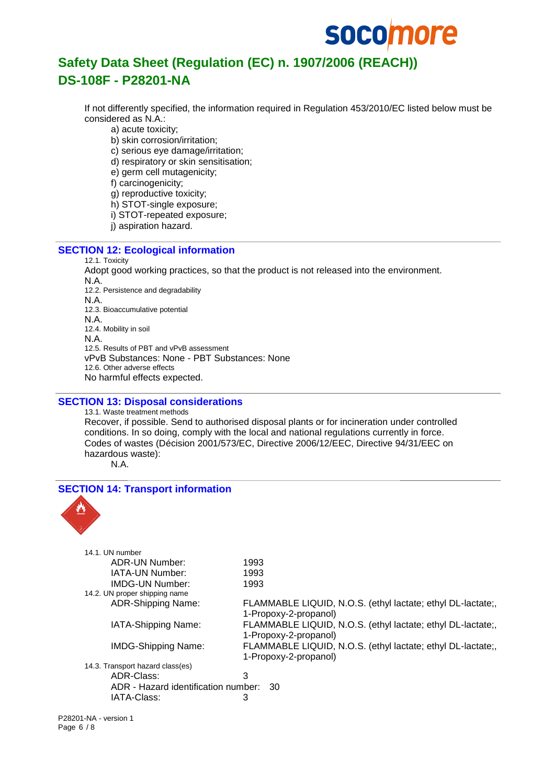## **socomore**

## **Safety Data Sheet (Regulation (EC) n. 1907/2006 (REACH)) DS-108F - P28201-NA**

If not differently specified, the information required in Regulation 453/2010/EC listed below must be considered as N.A.:

a) acute toxicity;

b) skin corrosion/irritation:

c) serious eye damage/irritation;

d) respiratory or skin sensitisation;

e) germ cell mutagenicity;

f) carcinogenicity;

g) reproductive toxicity;

h) STOT-single exposure;

i) STOT-repeated exposure;

j) aspiration hazard.

#### **SECTION 12: Ecological information**

#### 12.1. Toxicity Adopt good working practices, so that the product is not released into the environment. N.A. 12.2. Persistence and degradability N.A. 12.3. Bioaccumulative potential N.A. 12.4. Mobility in soil N.A. 12.5. Results of PBT and vPvB assessment vPvB Substances: None - PBT Substances: None 12.6. Other adverse effects No harmful effects expected.

#### **SECTION 13: Disposal considerations**

13.1. Waste treatment methods Recover, if possible. Send to authorised disposal plants or for incineration under controlled conditions. In so doing, comply with the local and national regulations currently in force. Codes of wastes (Décision 2001/573/EC, Directive 2006/12/EEC, Directive 94/31/EEC on hazardous waste):

N.A.

### **SECTION 14: Transport information** 14.1. UN number ADR-UN Number: 1993 IATA-UN Number: 1993 IMDG-UN Number: 1993 14.2. UN proper shipping name ADR-Shipping Name: FLAMMABLE LIQUID, N.O.S. (ethyl lactate; ethyl DL-lactate;, 1-Propoxy-2-propanol) IATA-Shipping Name: FLAMMABLE LIQUID, N.O.S. (ethyl lactate; ethyl DL-lactate;, 1-Propoxy-2-propanol) IMDG-Shipping Name: FLAMMABLE LIQUID, N.O.S. (ethyl lactate; ethyl DL-lactate;, 1-Propoxy-2-propanol) 14.3. Transport hazard class(es) ADR-Class: 3 ADR - Hazard identification number: 30 IATA-Class: 3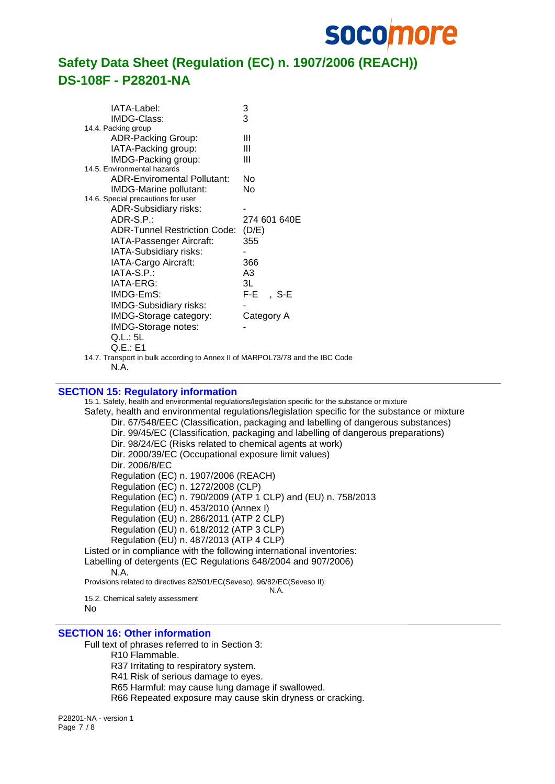

| IATA-Label:                                                                   | 3            |
|-------------------------------------------------------------------------------|--------------|
| IMDG-Class:                                                                   | 3            |
| 14.4. Packing group                                                           |              |
| ADR-Packing Group:                                                            | Ш            |
| IATA-Packing group:                                                           | Ш            |
| IMDG-Packing group:                                                           | Ш            |
| 14.5. Environmental hazards                                                   |              |
| ADR-Enviromental Pollutant:                                                   | No           |
| IMDG-Marine pollutant:                                                        | No           |
| 14.6. Special precautions for user                                            |              |
| ADR-Subsidiary risks:                                                         |              |
| ADR-S.P.:                                                                     | 274 601 640E |
| <b>ADR-Tunnel Restriction Code:</b>                                           | (D/E)        |
| IATA-Passenger Aircraft:                                                      | 355          |
| IATA-Subsidiary risks:                                                        |              |
| IATA-Cargo Aircraft:                                                          | 366          |
| IATA-S.P.:                                                                    | A3           |
| IATA-ERG:                                                                     | 3L           |
| IMDG-EmS:                                                                     | $F-E$ , S-E  |
| IMDG-Subsidiary risks:                                                        |              |
| IMDG-Storage category:                                                        | Category A   |
| IMDG-Storage notes:                                                           |              |
| Q.L.: 5L                                                                      |              |
| Q.E.:E1                                                                       |              |
| 14.7. Transport in bulk according to Annex II of MARPOL73/78 and the IBC Code |              |
|                                                                               |              |

N.A.

#### **SECTION 15: Regulatory information**

15.1. Safety, health and environmental regulations/legislation specific for the substance or mixture Safety, health and environmental regulations/legislation specific for the substance or mixture Dir. 67/548/EEC (Classification, packaging and labelling of dangerous substances) Dir. 99/45/EC (Classification, packaging and labelling of dangerous preparations) Dir. 98/24/EC (Risks related to chemical agents at work) Dir. 2000/39/EC (Occupational exposure limit values) Dir. 2006/8/EC Regulation (EC) n. 1907/2006 (REACH) Regulation (EC) n. 1272/2008 (CLP) Regulation (EC) n. 790/2009 (ATP 1 CLP) and (EU) n. 758/2013 Regulation (EU) n. 453/2010 (Annex I) Regulation (EU) n. 286/2011 (ATP 2 CLP) Regulation (EU) n. 618/2012 (ATP 3 CLP) Regulation (EU) n. 487/2013 (ATP 4 CLP) Listed or in compliance with the following international inventories: Labelling of detergents (EC Regulations 648/2004 and 907/2006) N.A. Provisions related to directives 82/501/EC(Seveso), 96/82/EC(Seveso II): N.A. 15.2. Chemical safety assessment

No

#### **SECTION 16: Other information**

Full text of phrases referred to in Section 3:

R10 Flammable.

R37 Irritating to respiratory system.

R41 Risk of serious damage to eyes.

R65 Harmful: may cause lung damage if swallowed.

R66 Repeated exposure may cause skin dryness or cracking.

P28201-NA - version 1 Page 7 / 8